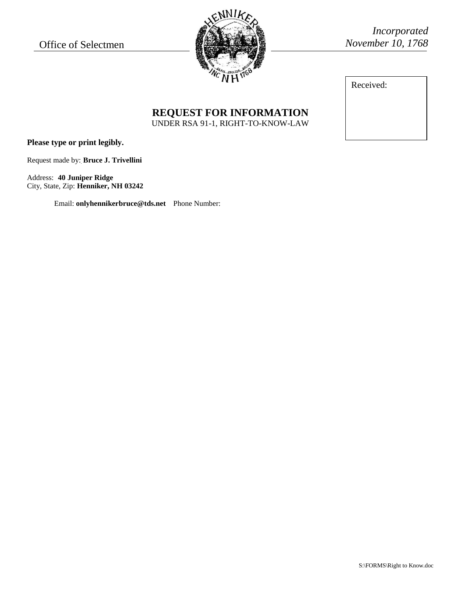Office of Selectmen



*Incorporated November 10, 1768*

Received:

## **REQUEST FOR INFORMATION** UNDER RSA 91-1, RIGHT-TO-KNOW-LAW

**Please type or print legibly.**

Request made by: **Bruce J. Trivellini**

Address: **40 Juniper Ridge** City, State, Zip: **Henniker, NH 03242**

Email: **onlyhennikerbruce@tds.net** Phone Number: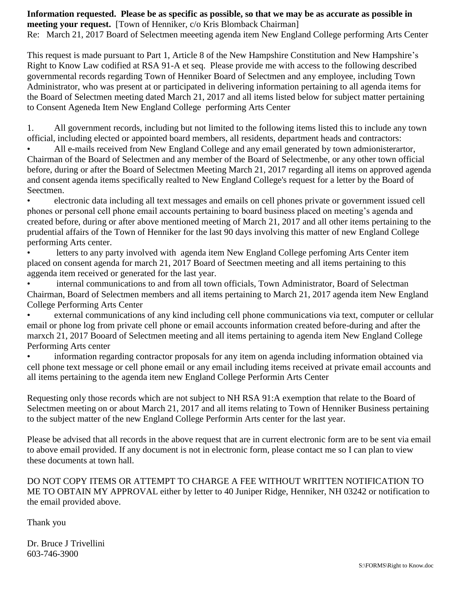**Information requested. Please be as specific as possible, so that we may be as accurate as possible in meeting your request.** [Town of Henniker, c/o Kris Blomback Chairman] Re: March 21, 2017 Board of Selectmen meeeting agenda item New England College performing Arts Center

This request is made pursuant to Part 1, Article 8 of the New Hampshire Constitution and New Hampshire's Right to Know Law codified at RSA 91-A et seq. Please provide me with access to the following described governmental records regarding Town of Henniker Board of Selectmen and any employee, including Town Administrator, who was present at or participated in delivering information pertaining to all agenda items for the Board of Selectmen meeting dated March 21, 2017 and all items listed below for subject matter pertaining to Consent Ageneda Item New England College performing Arts Center

1. All government records, including but not limited to the following items listed this to include any town official, including elected or appointed board members, all residents, department heads and contractors:

All e-mails received from New England College and any email generated by town admionisterartor, Chairman of the Board of Selectmen and any member of the Board of Selectmenbe, or any other town official before, during or after the Board of Selectmen Meeting March 21, 2017 regarding all items on approved agenda and consent agenda items specifically realted to New England College's request for a letter by the Board of Seectmen.

• electronic data including all text messages and emails on cell phones private or government issued cell phones or personal cell phone email accounts pertaining to board business placed on meeting's agenda and created before, during or after above mentioned meeting of March 21, 2017 and all other items pertaining to the prudential affairs of the Town of Henniker for the last 90 days involving this matter of new England College performing Arts center.

• letters to any party involved with agenda item New England College perfoming Arts Center item placed on consent agenda for march 21, 2017 Board of Seectmen meeting and all items pertaining to this aggenda item received or generated for the last year.

• internal communications to and from all town officials, Town Administrator, Board of Selectman Chairman, Board of Selectmen members and all items pertaining to March 21, 2017 agenda item New England College Performing Arts Center

• external communications of any kind including cell phone communications via text, computer or cellular email or phone log from private cell phone or email accounts information created before-during and after the marxch 21, 2017 Booard of Selectmen meeting and all items pertaining to agenda item New England College Performing Arts center

• information regarding contractor proposals for any item on agenda including information obtained via cell phone text message or cell phone email or any email including items received at private email accounts and all items pertaining to the agenda item new England College Performin Arts Center

Requesting only those records which are not subject to NH RSA 91:A exemption that relate to the Board of Selectmen meeting on or about March 21, 2017 and all items relating to Town of Henniker Business pertaining to the subject matter of the new England College Performin Arts center for the last year.

Please be advised that all records in the above request that are in current electronic form are to be sent via email to above email provided. If any document is not in electronic form, please contact me so I can plan to view these documents at town hall.

DO NOT COPY ITEMS OR ATTEMPT TO CHARGE A FEE WITHOUT WRITTEN NOTIFICATION TO ME TO OBTAIN MY APPROVAL either by letter to 40 Juniper Ridge, Henniker, NH 03242 or notification to the email provided above.

Thank you

Dr. Bruce J Trivellini 603-746-3900